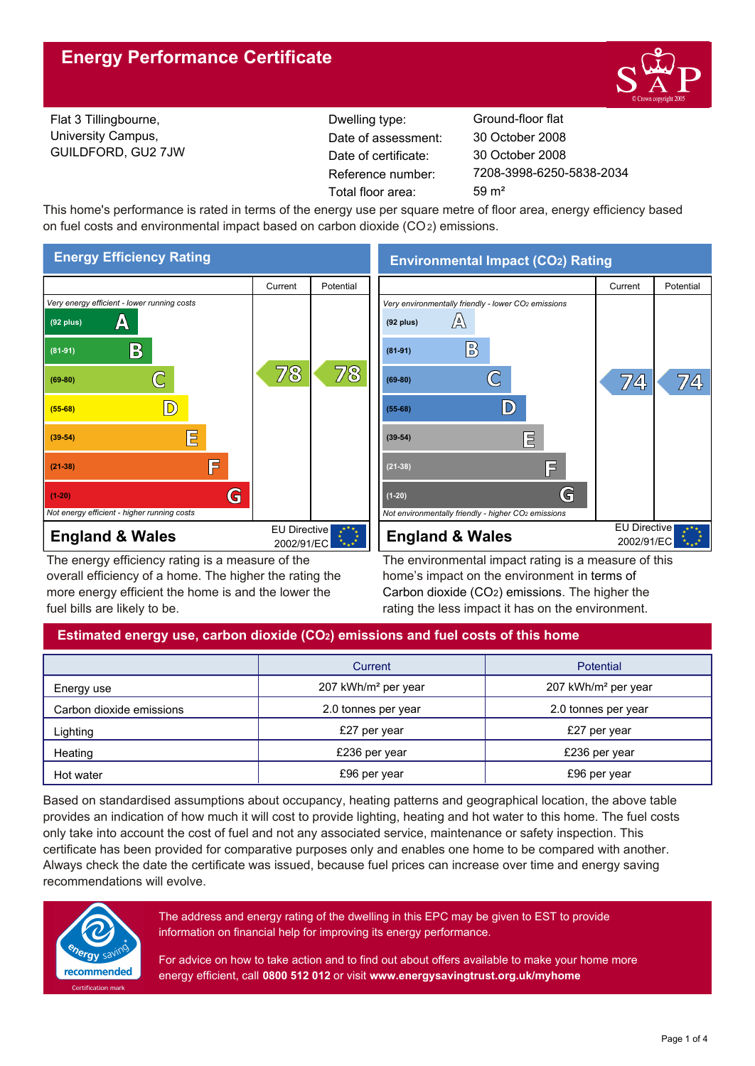

Flat 3 Tillingbourne, University Campus, GUILDFORD, GU2 7JW Reference number: Dwelling type: Ground-floor flat Date of certificate: Total floor area: 59 m<sup>2</sup> Date of assessment:

7208-3998-6250-5838-2034 30 October 2008 30 October 2008

This home's performance is rated in terms of the energy use per square metre of floor area, energy efficiency based on fuel costs and environmental impact based on carbon dioxide (CO2) emissions.



The energy efficiency rating is a measure of the overall efficiency of a home. The higher the rating the more energy efficient the home is and the lower the fuel bills are likely to be.

**Environmental Impact (CO2) Rating**



The environmental impact rating is a measure of this home's impact on the environment in terms of Carbon dioxide (CO2) emissions. The higher the rating the less impact it has on the environment.

# **Estimated energy use, carbon dioxide (CO2) emissions and fuel costs of this home**

|                          | Current                         | <b>Potential</b>                |  |
|--------------------------|---------------------------------|---------------------------------|--|
| Energy use               | 207 kWh/m <sup>2</sup> per year | 207 kWh/m <sup>2</sup> per year |  |
| Carbon dioxide emissions | 2.0 tonnes per year             | 2.0 tonnes per year             |  |
| Lighting                 | £27 per year                    | £27 per year                    |  |
| Heating                  | £236 per year                   | £236 per year                   |  |
| Hot water                | £96 per year                    | £96 per year                    |  |

Based on standardised assumptions about occupancy, heating patterns and geographical location, the above table provides an indication of how much it will cost to provide lighting, heating and hot water to this home. The fuel costs only take into account the cost of fuel and not any associated service, maintenance or safety inspection. This certificate has been provided for comparative purposes only and enables one home to be compared with another. Always check the date the certificate was issued, because fuel prices can increase over time and energy saving recommendations will evolve.



The address and energy rating of the dwelling in this EPC may be given to EST to provide information on financial help for improving its energy performance.

For advice on how to take action and to find out about offers available to make your home more energy efficient, call **0800 512 012** or visit **www.energysavingtrust.org.uk/myhome**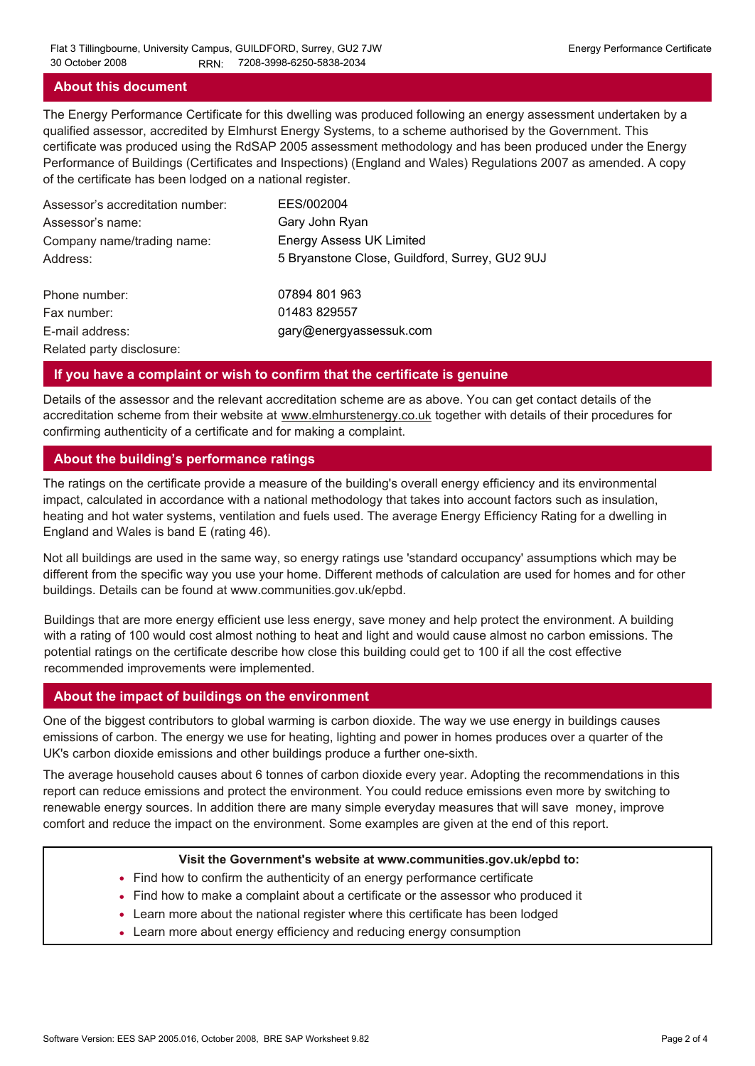#### **About this document**

The Energy Performance Certificate for this dwelling was produced following an energy assessment undertaken by a qualified assessor, accredited by Elmhurst Energy Systems, to a scheme authorised by the Government. This certificate was produced using the RdSAP 2005 assessment methodology and has been produced under the Energy Performance of Buildings (Certificates and Inspections) (England and Wales) Regulations 2007 as amended. A copy of the certificate has been lodged on a national register.

| Assessor's accreditation number: | EES/002004                                     |
|----------------------------------|------------------------------------------------|
| Assessor's name:                 | Gary John Ryan                                 |
| Company name/trading name:       | <b>Energy Assess UK Limited</b>                |
| Address:                         | 5 Bryanstone Close, Guildford, Surrey, GU2 9UJ |
| Phone number:                    | 07894 801 963                                  |
| Fax number:                      | 01483 829557                                   |
| E-mail address:                  | gary@energyassessuk.com                        |
| Related party disclosure:        |                                                |

#### **If you have a complaint or wish to confirm that the certificate is genuine**

Details of the assessor and the relevant accreditation scheme are as above. You can get contact details of the accreditation scheme from their website at www.elmhurstenergy.co.uk together with details of their procedures for confirming authenticity of a certificate and for making a complaint.

### **About the building's performance ratings**

The ratings on the certificate provide a measure of the building's overall energy efficiency and its environmental impact, calculated in accordance with a national methodology that takes into account factors such as insulation, heating and hot water systems, ventilation and fuels used. The average Energy Efficiency Rating for a dwelling in England and Wales is band E (rating 46).

Not all buildings are used in the same way, so energy ratings use 'standard occupancy' assumptions which may be different from the specific way you use your home. Different methods of calculation are used for homes and for other buildings. Details can be found at www.communities.gov.uk/epbd.

Buildings that are more energy efficient use less energy, save money and help protect the environment. A building with a rating of 100 would cost almost nothing to heat and light and would cause almost no carbon emissions. The potential ratings on the certificate describe how close this building could get to 100 if all the cost effective recommended improvements were implemented.

#### **About the impact of buildings on the environment**

One of the biggest contributors to global warming is carbon dioxide. The way we use energy in buildings causes emissions of carbon. The energy we use for heating, lighting and power in homes produces over a quarter of the UK's carbon dioxide emissions and other buildings produce a further one-sixth.

The average household causes about 6 tonnes of carbon dioxide every year. Adopting the recommendations in this report can reduce emissions and protect the environment. You could reduce emissions even more by switching to renewable energy sources. In addition there are many simple everyday measures that will save money, improve comfort and reduce the impact on the environment. Some examples are given at the end of this report.

#### **Visit the Government's website at www.communities.gov.uk/epbd to:**

- Find how to confirm the authenticity of an energy performance certificate
- Find how to make a complaint about a certificate or the assessor who produced it •
- Learn more about the national register where this certificate has been lodged •
- Learn more about energy efficiency and reducing energy consumption •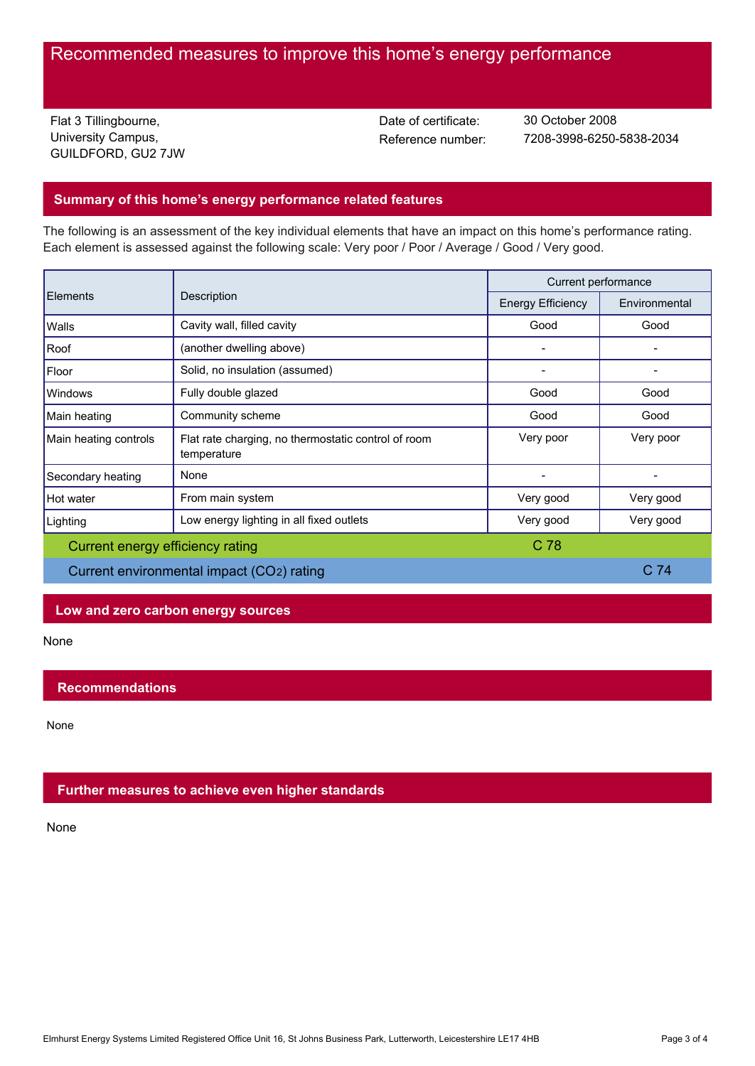# Recommended measures to improve this home's energy performance

Flat 3 Tillingbourne, University Campus, GUILDFORD, GU2 7JW Date of certificate:

Reference number: 7208-3998-6250-5838-2034 30 October 2008

## **Summary of this home's energy performance related features**

The following is an assessment of the key individual elements that have an impact on this home's performance rating. Each element is assessed against the following scale: Very poor / Poor / Average / Good / Very good.

| Elements                                  | Description                                                        | Current performance      |                 |
|-------------------------------------------|--------------------------------------------------------------------|--------------------------|-----------------|
|                                           |                                                                    | <b>Energy Efficiency</b> | Environmental   |
| Walls                                     | Cavity wall, filled cavity                                         | Good                     | Good            |
| Roof                                      | (another dwelling above)                                           |                          |                 |
| Floor                                     | Solid, no insulation (assumed)                                     |                          |                 |
| <b>Windows</b>                            | Fully double glazed                                                | Good                     | Good            |
| Main heating                              | Community scheme                                                   | Good                     | Good            |
| Main heating controls                     | Flat rate charging, no thermostatic control of room<br>temperature | Very poor                | Very poor       |
| Secondary heating                         | None                                                               |                          |                 |
| Hot water                                 | From main system                                                   | Very good                | Very good       |
| Lighting                                  | Low energy lighting in all fixed outlets                           | Very good                | Very good       |
| Current energy efficiency rating          |                                                                    | C <sub>78</sub>          |                 |
| Current environmental impact (CO2) rating |                                                                    |                          | C <sub>74</sub> |

## **Low and zero carbon energy sources**

None

### **Recommendations**

None

### **Further measures to achieve even higher standards**

None